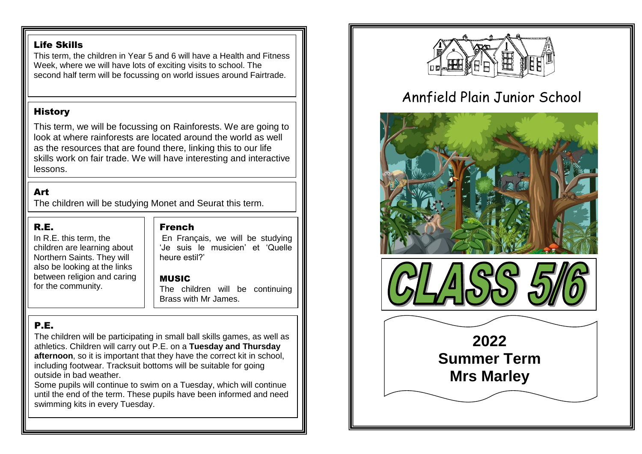### Life Skills

This term, the children in Year 5 and 6 will have a Health and Fitness Week, where we will have lots of exciting visits to school. The second half term will be focussing on world issues around Fairtrade.

## **History**

This term, we will be focussing on Rainforests. We are going to look at where rainforests are located around the world as well as the resources that are found there, linking this to our life skills work on fair trade. We will have interesting and interactive lessons.

## Art

The children will be studying Monet and Seurat this term.

## R.E.

In R.E. this term, the children are learning about Northern Saints. They will also be looking at the links between religion and caring for the community.

## French

En Français, we will be studying 'Je suis le musicien' et 'Quelle heure estil?'

## MUSIC

The children will be continuing Brass with Mr James.

## P.E.

The children will be participating in small ball skills games, as well as athletics. Children will carry out P.E. on a **Tuesday and Thursday afternoon**, so it is important that they have the correct kit in school, including footwear. Tracksuit bottoms will be suitable for going outside in bad weather.

Some pupils will continue to swim on a Tuesday, which will continue until the end of the term. These pupils have been informed and need swimming kits in every Tuesday.



# Annfield Plain Junior School